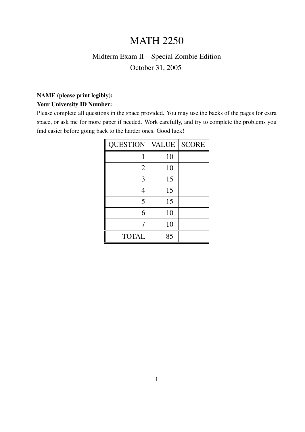## MATH 2250

## Midterm Exam II – Special Zombie Edition October 31, 2005

## NAME (please print legibly): Your University ID Number:

Please complete all questions in the space provided. You may use the backs of the pages for extra space, or ask me for more paper if needed. Work carefully, and try to complete the problems you find easier before going back to the harder ones. Good luck!

| <b>QUESTION</b> | <b>VALUE</b> | <b>SCORE</b> |
|-----------------|--------------|--------------|
|                 | 10           |              |
| $\overline{2}$  | 10           |              |
| 3               | 15           |              |
| 4               | 15           |              |
| 5               | 15           |              |
| 6               | 10           |              |
| 7               | 10           |              |
| <b>TOTAL</b>    | 85           |              |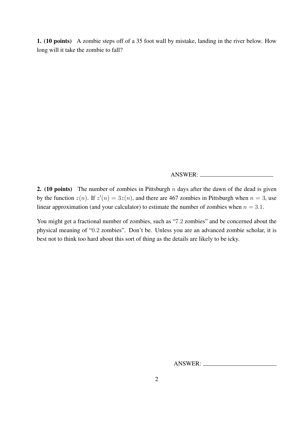1. (10 points) A zombie steps off of a 35 foot wall by mistake, landing in the river below. How long will it take the zombie to fall?

ANSWER:

2. (10 points) The number of zombies in Pittsburgh  $n$  days after the dawn of the dead is given by the function  $z(n)$ . If  $z'(n) = 3z(n)$ , and there are 467 zombies in Pittsburgh when  $n = 3$ , use linear approximation (and your calculator) to estimate the number of zombies when  $n = 3.1$ .

You might get a fractional number of zombies, such as "7.2 zombies" and be concerned about the physical meaning of "0.2 zombies". Don't be. Unless you are an advanced zombie scholar, it is best not to think too hard about this sort of thing as the details are likely to be icky.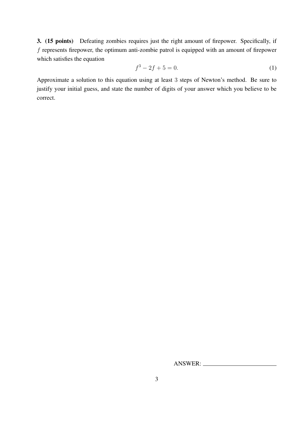3. (15 points) Defeating zombies requires just the right amount of firepower. Specifically, if  $f$  represents firepower, the optimum anti-zombie patrol is equipped with an amount of firepower which satisfies the equation

$$
f^3 - 2f + 5 = 0.\t\t(1)
$$

Approximate a solution to this equation using at least 3 steps of Newton's method. Be sure to justify your initial guess, and state the number of digits of your answer which you believe to be correct.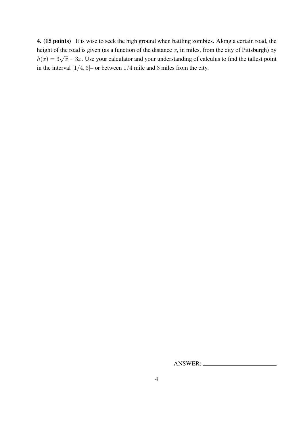4. (15 points) It is wise to seek the high ground when battling zombies. Along a certain road, the height of the road is given (as a function of the distance  $x$ , in miles, from the city of Pittsburgh) by  $h(x) = 3\sqrt{x} - 3x$ . Use your calculator and your understanding of calculus to find the tallest point in the interval  $[1/4, 3]$ – or between  $1/4$  mile and 3 miles from the city.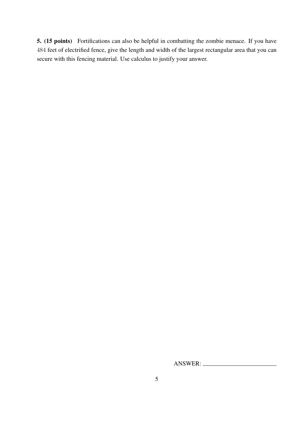5. (15 points) Fortifications can also be helpful in combatting the zombie menace. If you have 484 feet of electrified fence, give the length and width of the largest rectangular area that you can secure with this fencing material. Use calculus to justify your answer.